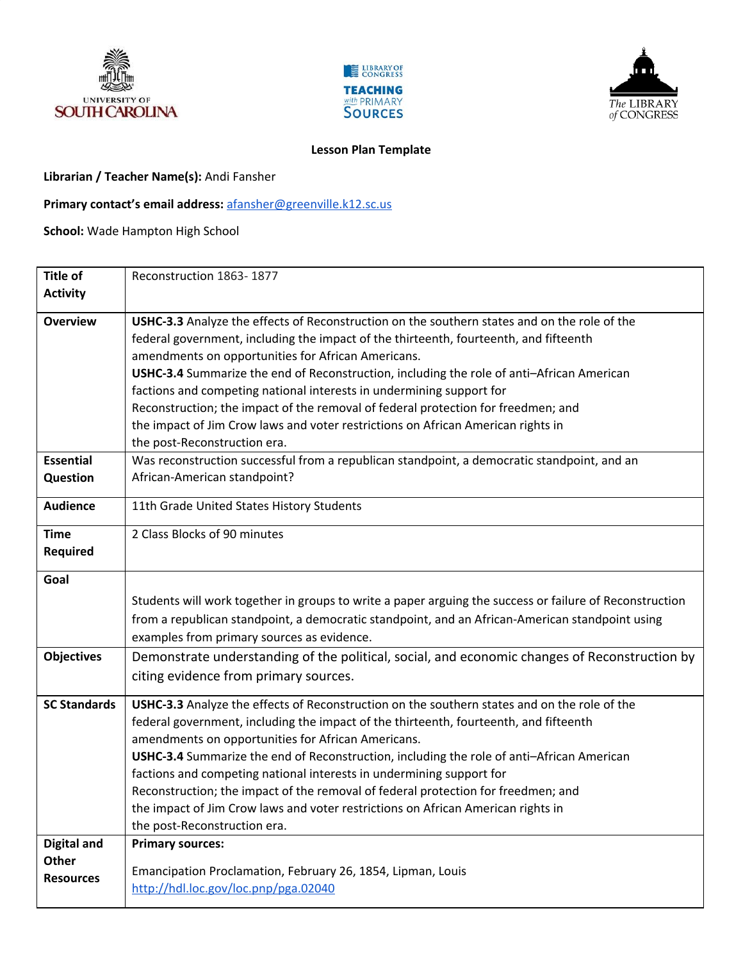





## **Lesson Plan Template**

**Librarian / Teacher Name(s):** Andi Fansher

**Primary contact's email address:** [afansher@greenville.k12.sc.us](mailto:afansher@greenville.k12.sc.us)

**School:** Wade Hampton High School

| <b>Title of</b>     | Reconstruction 1863-1877                                                                                |
|---------------------|---------------------------------------------------------------------------------------------------------|
| <b>Activity</b>     |                                                                                                         |
|                     |                                                                                                         |
| <b>Overview</b>     | USHC-3.3 Analyze the effects of Reconstruction on the southern states and on the role of the            |
|                     | federal government, including the impact of the thirteenth, fourteenth, and fifteenth                   |
|                     | amendments on opportunities for African Americans.                                                      |
|                     | USHC-3.4 Summarize the end of Reconstruction, including the role of anti-African American               |
|                     | factions and competing national interests in undermining support for                                    |
|                     | Reconstruction; the impact of the removal of federal protection for freedmen; and                       |
|                     | the impact of Jim Crow laws and voter restrictions on African American rights in                        |
|                     | the post-Reconstruction era.                                                                            |
| <b>Essential</b>    | Was reconstruction successful from a republican standpoint, a democratic standpoint, and an             |
| Question            | African-American standpoint?                                                                            |
| <b>Audience</b>     | 11th Grade United States History Students                                                               |
| <b>Time</b>         | 2 Class Blocks of 90 minutes                                                                            |
| <b>Required</b>     |                                                                                                         |
| Goal                |                                                                                                         |
|                     |                                                                                                         |
|                     | Students will work together in groups to write a paper arguing the success or failure of Reconstruction |
|                     | from a republican standpoint, a democratic standpoint, and an African-American standpoint using         |
|                     | examples from primary sources as evidence.                                                              |
| <b>Objectives</b>   | Demonstrate understanding of the political, social, and economic changes of Reconstruction by           |
|                     | citing evidence from primary sources.                                                                   |
| <b>SC Standards</b> | USHC-3.3 Analyze the effects of Reconstruction on the southern states and on the role of the            |
|                     | federal government, including the impact of the thirteenth, fourteenth, and fifteenth                   |
|                     | amendments on opportunities for African Americans.                                                      |
|                     | USHC-3.4 Summarize the end of Reconstruction, including the role of anti-African American               |
|                     | factions and competing national interests in undermining support for                                    |
|                     | Reconstruction; the impact of the removal of federal protection for freedmen; and                       |
|                     | the impact of Jim Crow laws and voter restrictions on African American rights in                        |
|                     | the post-Reconstruction era.                                                                            |
| <b>Digital and</b>  | <b>Primary sources:</b>                                                                                 |
| <b>Other</b>        |                                                                                                         |
| <b>Resources</b>    | Emancipation Proclamation, February 26, 1854, Lipman, Louis                                             |
|                     | http://hdl.loc.gov/loc.pnp/pga.02040                                                                    |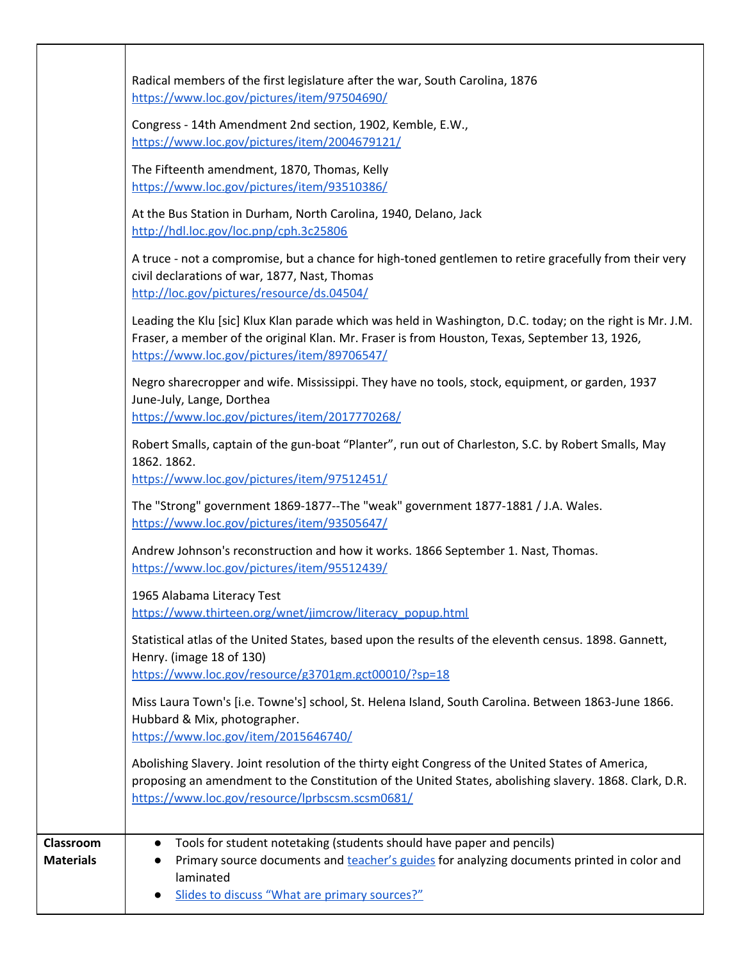|                                      | Radical members of the first legislature after the war, South Carolina, 1876<br>https://www.loc.gov/pictures/item/97504690/                                                                                                                                     |
|--------------------------------------|-----------------------------------------------------------------------------------------------------------------------------------------------------------------------------------------------------------------------------------------------------------------|
|                                      | Congress - 14th Amendment 2nd section, 1902, Kemble, E.W.,<br>https://www.loc.gov/pictures/item/2004679121/                                                                                                                                                     |
|                                      | The Fifteenth amendment, 1870, Thomas, Kelly<br>https://www.loc.gov/pictures/item/93510386/                                                                                                                                                                     |
|                                      | At the Bus Station in Durham, North Carolina, 1940, Delano, Jack<br>http://hdl.loc.gov/loc.pnp/cph.3c25806                                                                                                                                                      |
|                                      | A truce - not a compromise, but a chance for high-toned gentlemen to retire gracefully from their very<br>civil declarations of war, 1877, Nast, Thomas<br>http://loc.gov/pictures/resource/ds.04504/                                                           |
|                                      | Leading the Klu [sic] Klux Klan parade which was held in Washington, D.C. today; on the right is Mr. J.M.<br>Fraser, a member of the original Klan. Mr. Fraser is from Houston, Texas, September 13, 1926,<br>https://www.loc.gov/pictures/item/89706547/       |
|                                      | Negro sharecropper and wife. Mississippi. They have no tools, stock, equipment, or garden, 1937<br>June-July, Lange, Dorthea<br>https://www.loc.gov/pictures/item/2017770268/                                                                                   |
|                                      | Robert Smalls, captain of the gun-boat "Planter", run out of Charleston, S.C. by Robert Smalls, May<br>1862. 1862.<br>https://www.loc.gov/pictures/item/97512451/                                                                                               |
|                                      | The "Strong" government 1869-1877--The "weak" government 1877-1881 / J.A. Wales.<br>https://www.loc.gov/pictures/item/93505647/                                                                                                                                 |
|                                      | Andrew Johnson's reconstruction and how it works. 1866 September 1. Nast, Thomas.<br>https://www.loc.gov/pictures/item/95512439/                                                                                                                                |
|                                      | 1965 Alabama Literacy Test<br>https://www.thirteen.org/wnet/jimcrow/literacy_popup.html                                                                                                                                                                         |
|                                      | Statistical atlas of the United States, based upon the results of the eleventh census. 1898. Gannett,<br>Henry. (image 18 of 130)<br>https://www.loc.gov/resource/g3701gm.gct00010/?sp=18                                                                       |
|                                      | Miss Laura Town's [i.e. Towne's] school, St. Helena Island, South Carolina. Between 1863-June 1866.<br>Hubbard & Mix, photographer.<br>https://www.loc.gov/item/2015646740/                                                                                     |
|                                      | Abolishing Slavery. Joint resolution of the thirty eight Congress of the United States of America,<br>proposing an amendment to the Constitution of the United States, abolishing slavery. 1868. Clark, D.R.<br>https://www.loc.gov/resource/lprbscsm.scsm0681/ |
| <b>Classroom</b><br><b>Materials</b> | Tools for student notetaking (students should have paper and pencils)<br>Primary source documents and teacher's guides for analyzing documents printed in color and<br>laminated<br>Slides to discuss "What are primary sources?"                               |